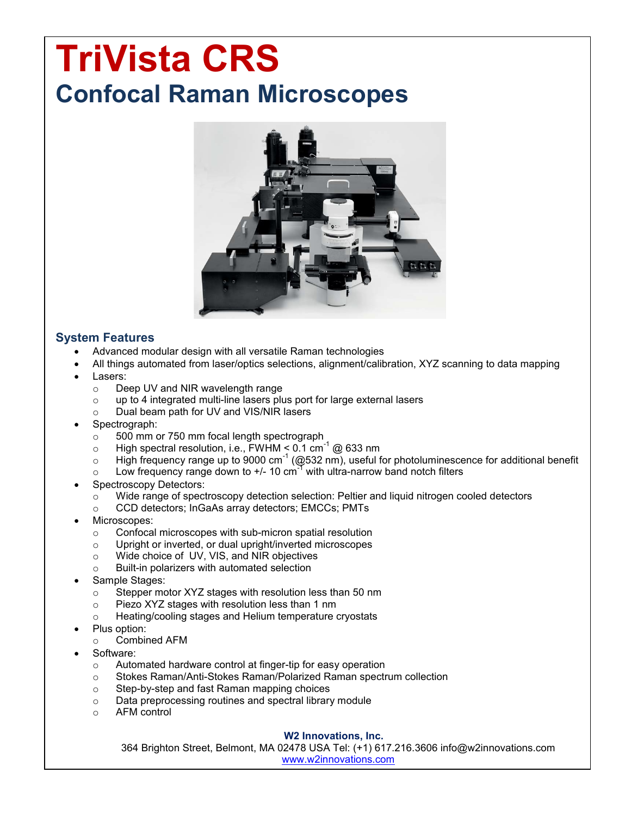# **TriVista CRS Confocal Raman Microscopes**



# **System Features**

- Advanced modular design with all versatile Raman technologies
- All things automated from laser/optics selections, alignment/calibration, XYZ scanning to data mapping
- Lasers:
	- o Deep UV and NIR wavelength range
	- $\circ$  up to 4 integrated multi-line lasers plus port for large external lasers
	- o Dual beam path for UV and VIS/NIR lasers
- Spectrograph:
	- $\circ$  500 mm or 750 mm focal length spectrograph
	- $\circ$  High spectral resolution, i.e., FWHM < 0.1 cm<sup>-1</sup> @ 633 nm
	- $\circ$  High frequency range up to 9000 cm<sup>-1</sup> (@532 nm), useful for photoluminescence for additional benefit
	- $\circ$  Low frequency range down to +/- 10 cm<sup>-1</sup> with ultra-narrow band notch filters
- Spectroscopy Detectors:
	- $\circ$  Wide range of spectroscopy detection selection: Peltier and liquid nitrogen cooled detectors
	- o CCD detectors; InGaAs array detectors; EMCCs; PMTs
- Microscopes:
	- o Confocal microscopes with sub-micron spatial resolution
	- o Upright or inverted, or dual upright/inverted microscopes
	- o Wide choice of UV, VIS, and NIR objectives
	- o Built-in polarizers with automated selection
- Sample Stages:
	- o Stepper motor XYZ stages with resolution less than 50 nm
	- o Piezo XYZ stages with resolution less than 1 nm
	- o Heating/cooling stages and Helium temperature cryostats
- Plus option:
	- o Combined AFM
- Software:
	- o Automated hardware control at finger-tip for easy operation
	- o Stokes Raman/Anti-Stokes Raman/Polarized Raman spectrum collection
	-
	- Step-by-step and fast Raman mapping choices<br>○ Data preprocessing routines and spectral library Data preprocessing routines and spectral library module
	- o AFM control

#### **W2 Innovations, Inc.**

364 Brighton Street, Belmont, MA 02478 USA Tel: (+1) 617.216.3606 info@w2innovations.com www.w2innovations.com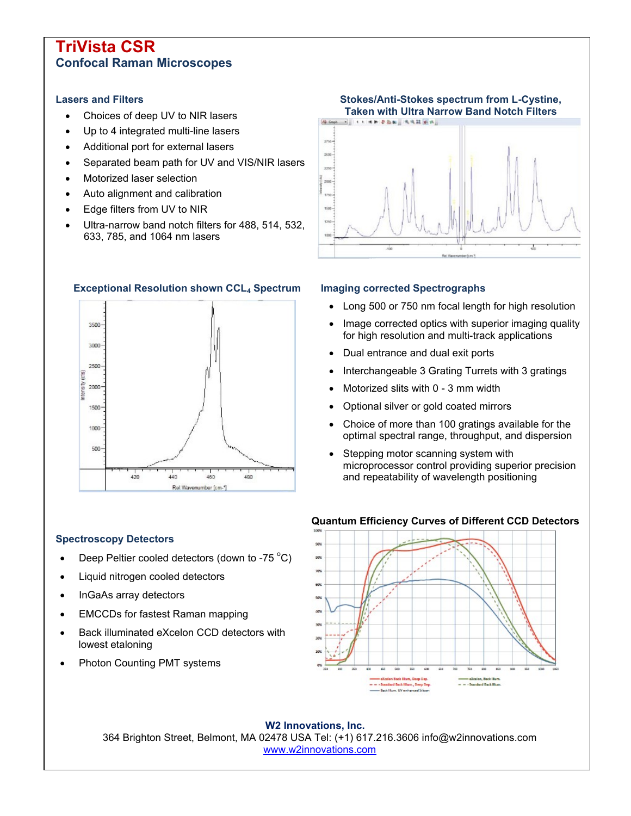# **TriVista CSR Confocal Raman Microscopes**

### **Lasers and Filters**

- Choices of deep UV to NIR lasers
- Up to 4 integrated multi-line lasers
- Additional port for external lasers
- Separated beam path for UV and VIS/NIR lasers
- Motorized laser selection
- Auto alignment and calibration
- Edge filters from UV to NIR
- Ultra-narrow band notch filters for 488, 514, 532, 633, 785, and 1064 nm lasers



## **Exceptional Resolution shown CCL<sup>4</sup> Spectrum Imaging corrected Spectrographs**



- Long 500 or 750 nm focal length for high resolution
- Image corrected optics with superior imaging quality for high resolution and multi-track applications
- Dual entrance and dual exit ports
- Interchangeable 3 Grating Turrets with 3 gratings
- Motorized slits with 0 3 mm width
- Optional silver or gold coated mirrors
- Choice of more than 100 gratings available for the optimal spectral range, throughput, and dispersion
- Stepping motor scanning system with microprocessor control providing superior precision and repeatability of wavelength positioning

## **Spectroscopy Detectors**

- Deep Peltier cooled detectors (down to -75  $^{\circ}$ C)
- Liquid nitrogen cooled detectors
- InGaAs array detectors
- EMCCDs for fastest Raman mapping
- Back illuminated eXcelon CCD detectors with lowest etaloning
- Photon Counting PMT systems

#### **Quantum Efficiency Curves of Different CCD Detectors**



**W2 Innovations, Inc.** 364 Brighton Street, Belmont, MA 02478 USA Tel: (+1) 617.216.3606 info@w2innovations.com www.w2innovations.com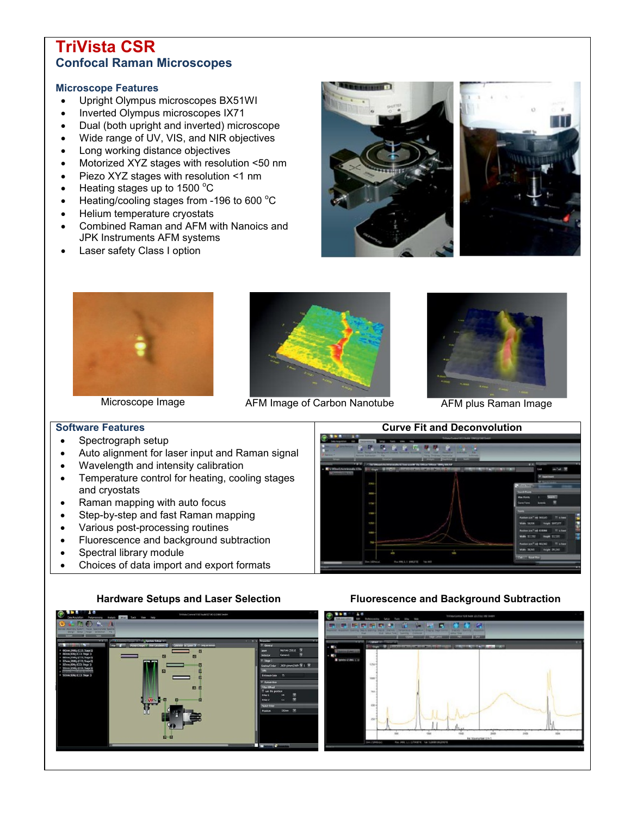# **TriVista CSR Confocal Raman Microscopes**

### **Microscope Features**

- Upright Olympus microscopes BX51WI
- Inverted Olympus microscopes IX71
- Dual (both upright and inverted) microscope
- Wide range of UV, VIS, and NIR objectives
- Long working distance objectives
- Motorized XYZ stages with resolution <50 nm
- Piezo XYZ stages with resolution <1 nm
- $\bullet$  Heating stages up to 1500 °C
- $\bullet$  Heating/cooling stages from -196 to 600 °C
- Helium temperature cryostats
- Combined Raman and AFM with Nanoics and JPK Instruments AFM systems
- Laser safety Class I option









Microscope Image Microscope Image AFM Image of Carbon Nanotube AFM plus Raman Image



# **Software Features**

- Spectrograph setup
- Auto alignment for laser input and Raman signal
- Wavelength and intensity calibration
- Temperature control for heating, cooling stages and cryostats
- Raman mapping with auto focus
- Step-by-step and fast Raman mapping
- Various post-processing routines
- Fluorescence and background subtraction
- Spectral library module
- Choices of data import and export formats





# **Hardware Setups and Laser Selection Fluorescence and Background Subtraction**